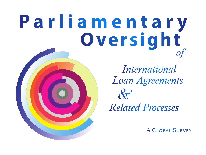# **P a r l i a m e n t a r y Oversight** *of*

*& Related Processes Loan Agreements International*

A Global Survey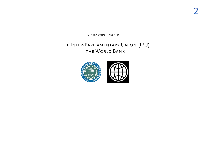JOINTLY UNDERTAKEN BY

### **• THE INTER-PARLIAMENTARY UNION (IPU)** · THE WORLD BANK

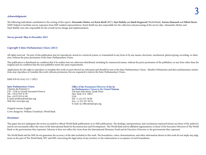### *Acknowledgments*

The following individuals contributed to the writing of this report: Alessandro Motter and Karin Riedl (IPU); Nayé Bathily and Jakob Kopperud (World Bank). Karina Manasseh and Elliott Harris (IMF) helped to facilitate survey responses from IMF resident representatives. Karin Riedl was also responsible for the collection and processing of the survey data. Alessandro Motter and Nayé Bathily were also responsible for the overall survey design and implementation.

### *Survey period: May to December 2011*

### *Copyright © Inter-Parliamentary Union (2013)*

All rights reserved. No part of this publication may be reproduced, stored in a retrieval system, or transmitted in any form or by any means, electronic, mechanical, photocopying, recording, or otherwise, without the prior permission of the Inter-Parliamentary Union.

This publication is distributed on condition that it be neither lent nor otherwise distributed, including by commercial means, without the prior permission of the publishers, in any form other than the original and on condition that the next publisher meets the same requirements.

Applications for the right to reproduce or translate this work or parts thereof are welcomed and should be sent to the Inter-Parliamentary Union. Member Parliaments and their parliamentary institutions may reproduce or translate this work without permission, but are requested to inform the Inter-Parliamentary Union..

ISBN 978-92-9142-571-7 (IPU)

**Inter-Parliamentary Union** Chemin du Pommier 5 CH - 1218 Le Grand-Saconnex/Geneva Tel.: +4122 919 41 50 Fax: +4122 919 41 60 E-mail: postbox@mail.ipu.org Web site: www.ipu.org

Original version: English Cover design by: William Ursenbach, World Bank

#### *Disclaimer*

This paper has not undergone the review accorded to official World Bank publications or to IMF publications. The findings, interpretations, and conclusions expressed herein are those of the author(s) and do not necessarily reflect the views of the International Bank for Reconstruction and Development / The World Bank and its affiliated organizations, or those of the Executive Directors of The World Bank or the governments they represent. Likewise it does not reflect the views from the International Monetary Fund and its Executive Directors or the governments they represent.

The World Bank and the IMF do not guarantee the accuracy of the data included in this work. The boundaries, colors, denominations, and other information shown in this work do not imply any judgment on the part of The World Bank, IPU and IMF concerning the legal status of any territory or the endorsement or acceptance of such boundaries.

**Office of the Permanent Observer of the Inter-Parliamentary Union to the United Nations** 336 East 45th Street, Tenth Floor New York, N.Y. 10017 USA Tel: +1 212 557 58 80 Fax: +1 212 557 39 54 E-mail: ny-office@mail.ipu.org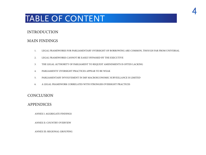# TABLE OF CONTENT

### INTRODUCTION

### MAIN FINDINGS

- 1. LEGAL FRAMEWORKS FOR PARLIAMENTARY OVERSIGHT OF BORROWING ARE COMMON, THOUGH FAR FROM UNIVERSAL
- 2. LEGAL FRAMEWORKS CANNOT BE EASILY BYPASSED BY THE EXECUTIVE
- 3. THE LEGAL AUTHORITY OF PARLIAMENT TO REQUEST AMENDMENTS IS OFTEN LACKING
- 4. PARLIAMENTS' OVERSIGHT PRACTICES APPEAR TO BE WEAK
- 5. PARLIAMENTARY INVOLVEMENT IN IMF MACROECONOMIC SURVEILLANCE IS LIMITED
- 6. A LEGAL FRAMEWORK CORRELATES WITH STRONGER OVERSIGHT PRACTICES

### **CONCLUSION**

### APPENDICES

ANNEX I: AGGREGATE FINDINGS

ANNEX II: COUNTRY OVERVIEW

ANNEX III: REGIONAL GROUPING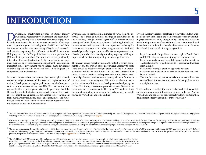## INTRODUCTION

evelopment effectiveness depends on strong country<br>ownership. Representative, transparent and accountable<br>policy-making with the active and informed engagement<br>by parliament is critical to ensure national ownership of deve ownership. Representative, transparent and accountable policy-making with the active and informed engagement by parliament is critical to ensure national ownership of development programs. Against this background, the IPU and the World Bank agreed to undertake a joint survey of legislative frameworks and practices regarding the ratification of World Bank and/or IMF programs; the IMF helped facilitate survey responses from IMF resident representatives. The funds and advice provided by international financial institutions (IFIs) – whether for development purposes or for macroeconomic adjustment – constitute an important tool of government policy. Indeed, many developing countries depend critically on external funds, including loans, to complement national revenues.

In those countries where parliaments play an oversight role with respect to budget processes and the design and implementation of national development strategies, parliaments can also be expected to scrutinize loans or advice from IFIs. There are a number of reasons for this: reforms agreed between the government and the IFI may have wider budget or policy impacts; support to a specific sector might free up resources for another sector; investment loans may have environmental or social consequences; and future budget cycles will have to take into account loan repayments and the expected returns on the investments.

1

2

\*

the structural, through formal legislation.<sup>2</sup> To exercise effective Oversight can be exercised in a number of ways, from the informal - be it through meetings, briefings or consultations - to oversight of public finances, parliament - including both elected representatives and support staff - are dependent on being fully informed: transparent and public budgets are key. Technical knowledge is also important to enable elected representatives to effectively exercise their oversight, making capacity building an important element of strengthening the role of parliaments.

related to World Bank and IMF lending.<sup>3</sup> The present survey report focuses on the extent to which parliaments around the world possess proper legal authority to ratify loans as well as effective oversight practices of the loan approval process. While the World Bank and the IMF surveyed their respective country offices and representations, the IPU surveyed national parliaments with a view to explore parliaments' influence . on governments' borrowing from IFIs, and – to a lesser extent – on the parliaments' influence on development-related policy decisions. The findings draw on responses from some 100 countries based on a survey completed in December 2011 and constitute the first attempt at a global mapping of parliamentary oversight

Overall, the study indicates that there is plenty of room for parliaments to exert influence in the loan approval process by instituting legal frameworks or by strengthening existing ones, as well as by improving a number of oversight practices. A common thread throughout the study is that these legal frameworks are often underutilized. More specific findings suggest that:

- Legal frameworks for parliamentary oversight of World Bank and IMF lending are common, though far from universal;
- Legal frameworks cannot be easily bypassed by the executive;
- The legal authority for parliaments to request amendments is often lacking;
- Parliaments' oversight practices appear to be weak;
- Parliamentary involvement in IMF macroeconomic surveillance is limited;
- There is, however, a positive correlation between the existence of legal frameworks and more effective parliamentary oversight practices.

These findings, as well as the country data collected, constitute an important source of information to help guide the IPU, the World Bank and the IMF in their respective efforts to strengthen development effectiveness and country ownership. \*

The 2005 Paris Declaration on Aid Effectiveness and its subsequent 2008 Accra Agenda for Action and the 2011 Busan Partnership for Effective Development Co-Operation all emphasize this point. For an example of World Bank e with the parliament of a client country in the context of governance reforms, see case study on Mongolia on **page 13**.

Parliamentary oversight consists of reviewing, monitoring and supervising the exercise of executive authority. It is a measure for holding the executive accountable for its actions and for ensuring that it implements polic manner. The parliamentary oversight function is one of the pillars of democracy and an indicator of good governance, through which parliament can ensure a balance of power and provide a public arena where all of society's be fairly represented. Most critically, parliamentary oversight helps ensure transparency and openness of the Executive's setting of priorities and management of public funds.

The survey was conducted from May to December 2011. Responses were received from 49 parliaments (facilitated by the respective offices of the speaker); 78 World Bank country offices; and 19 IMF representatives, from 99 dif countries. Only developing countries and transition economies were canvassed. Where there is inconsistency in the responses from the different sources, the result is either discarded or, where the questions referred to par practices, the parliament's response is taken as the default response [see **Appendices** for further detail]. 3

The World Bank and IMF are governed by and are accountable to the governments of their member countries. According to their charters, the Articles of Agreement, their main interlocutors are the financial authorities—in most cases the finance ministry or central bank of the member countries. Recognizing that the principal responsibility for communication to legislators rests with the national authorities, the World Bank's and IMF's interaction with legislators is tailored to the specific country circumstances, and closely coordinated with each country's respective financial authorities and representative on their Executive Boards.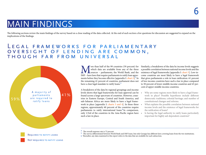# MAIN FINDINGS

The following sections review the main findings of the survey based on a close reading of the data collected. At the end of each section a few questions for discussion are suggested to expand on the implications of the findings.

### L E G A L F R A M E W O R K S F O R P A R L I A M E N T A R Y OVERSIGHT OF LENDING ARE COMMON, THOUGH FAR FROM UNIVERSAL



We over than half of the 99 countries (59 percent) for which data are available from any of the three sources – parliaments, the World Bank, and the IMF – have laws that require parliaments to ratify loan agree-IMF – have laws that require parliaments to ratify loan agreements before they become effective [appendix I: **chart 2**]. In 4 the remaining 41 percent of countries, parliament does not have a clear legal mandate to ratify loans.<sup>5</sup>

A breakdown of the data by regional groupings and income levels shows that legal frameworks for loan approval can be found across a large spectrum of countries. However, countries in Eastern Europe, Central and South America, and sub-Saharan Africa are more likely to have a legal framework in place [appendix I: **charts 3 and 4**]. In these three regions, approximately 60 percent of the countries require parliaments to ratify international loans.<sup>6</sup> In comparison, only 1/3rd of the countries in the Asia-Pacific region have • such a law in place.

which data are available from any of the three a possible correlation between national income levels and the sources – parliaments, the World Bank, and the existence of legal frameworks [appendix I: **chart 5**]. Low-inore than half of the 99 countries (59 percent) for Similarly, a breakdown of the data by income levels suggests come countries are most likely to have a legal framework that gives parliaments a role in loan ratification: 61 percent of low-income countries have such a law in place compared to 50 percent of lower-middle income countries and 43 percent of upper-middle income countries.

- Why are some regions more likely to have a legal framework in place? Possible hypotheses include different democratic traditions; colonial heritage; and number of constitutional changes and reforms.
- What explains the possible correlation between national income levels and the existence of legal frameworks for the ratification of loans?
- Is having the legal authority to ratify loans particularly important for highly aid-dependent countries?

NOT REQUIRED TO RATIFY LOANS

 $\frac{4}{1}$  The overall response rate is 72 percent. 4 5

 $^{\circ}~$  The survey differentiated between World Bank and IMF loans, but only Georgia has different laws covering loans from the two institutions.

Thereafter, any data examined in this report refers to the data that are available for each subsection. 6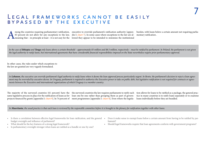### LEGAL FRAMEWORKS CANNOT BE EASILY bypassed by the executive

mong the countries requiring parliamentary ratification,<br>83 percent do not allow for any exceptions to the law,<br>meaning that – in principle at least - it is not easy for the

83 percent do not allow for any exceptions to the law, dix I: **chart 7**]. In some cases where exceptions to the law are almeaning that – in principle at least - it is not easy for the lowed they appear to be intended to minimize the institutional

executive to override parliament's ratification authority [appen-burden, with loans below a certain amount not requiring parliamentary ratification .

In the case of Ethiopia and Tonga only loans above a certain threshold - approximately \$5 million and \$8.5 million, respectively - must be ratified by parliament. In Poland, the parliament is not given *the legal authority to ratify loans, but international agreements that have considerable financial responsibilities imposed on the State nevertheless require prior parliamentary approval.*

In other cases, the rules under which exceptions to the law are granted are very vaguely formulated.

In Lebanon, the executive can override parliament's legal authority to ratify loans when it deems the loan approval process particularly urgent. In Benin, the parliament's decision to reject a loan agree*ment may be overruled by executive decree. In Uruguay, parliament is required to authorize the Executive power to take on public debt, but legislative ratification is not required for contracts or agreements between the Executive and international organizations of which Uruguay is a member country.*

The majority of the surveyed countries (61 percent) have the) the surveyed countries the law requires parliaments to ratify each same legislative process in place for the ratification of loans as for loan one-by-one rather than grouping them as part of governprojects financed by grants [appendix I: **chart 9**]. In 74 percent of ment programmes [appendix I: **chart 8**]. Even where the legisla-

tion allows for loans to be ratified as a package, the general practice in many countries is to ratify loans separately or to examine loans individually before they are bundled.

*In Mauritania, the usual practice is that each loan is reviewed by the responsible committee before it is brought to the plenary for ratification together with other loans.*

- Is there a correlation between effective legal frameworks for loan ratification, and the general Does it make sense to exempt loans below a certain amount from having to be ratified by parbudget oversight and influence of parliament?
- What should be the key features of a strong legal framework?
- • Is parliamentary oversight stronger when loans are ratified as a bundle or one-by-one?
- liament?
- Should legal frameworks require that loan agreements conform with government programs?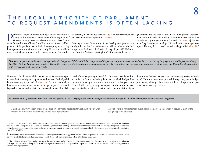### THE LEGAL AUTHORITY OF PARLIAMENT to request amendments is often lacking

**Parliament's right to amend loan agreements constitutes a** strong tool to influence the outcome of loan negotiations.<sup>7</sup><br>However, among the surveyed countries with a legal framework for ratification of loans from IFIs in strong tool to influence the outcome of loan negotiations.<sup>7</sup> However, among the surveyed countries with a legal framework for ratification of loans from IFIs in place, almost half (47 percent) of the parliaments are limited to accepting or rejecting loan agreements in their entirety, and only 29 percent are able to request actual amendments to the loan agreement. For another the Country Assistance Strategies (CAS) discussed between the

request amendments [appendix I: **chart 6**].

Looking at other dimensions of the development process, the study indicates that few parliaments are able to influence the final adoption of the Poverty Reduction Strategy Papers (PRSPs) or of

8 reported by only 2 percent of respondents [appendix I: **chart 18**]. 24 percent, the law is not specific as to whether parliament can government and the World Bank. A total of 85 percent of parliaments do not have legal authority to approve PRSPs before they are adopted by the government [appendix I: **chart 19**]. Parliaments' legal authority to adopt CAS and similar strategies was

*Montenegro's parliament does not have legal authority to approve PRSPs, but this has not precluded the parliament from involvement during the process. During the preparation and implementation of the 2003 PRSP, the Parliamentary Advisory Committee, comprised of representatives from a number of portfolio committees, was responsible for addressing sensitive issues. The Committee also consulted with representatives of vulnerable groups.*

However, it should be noted that 94 percent of parliaments report hood of this happening in actual fact, however, may depend on to have the formal right to request amendments to the budget bill a number of factors, including the extent to which budget docbefore adopting it [appendix I: **chart 23**]. In those cases where uments are made public and the time allowed for budget review loan ratification occurs as part of the budget approval process, it (both of which are generally inadequate), or the number of loan is possible that amendments to the loan can be made. The likeli-

agreements that are attached to the budget document (the higher

to be).<sup>9</sup> In some cases, loan approval through the general budget the number the less stringent the parliamentary review is likely process may allow parliaments to set debt ceilings or other parameters for loan agreements.

*In Cameroon the government proposes a debt strategy that includes the profile, the amount, and potential lenders through the finance law that parliament is required to approve.*

- Is parliamentary oversight of programs supported by loan agreements weakened when parlia- How effective is parliamentary oversight of loan agreements when it occurs as part of the ments do not have the authority to amend such agreements?
- budget approval process?

 $\frac{7}{1}$  It should be understood that the authority of parliament to amend a loan agreement may well be established by the law but that it may still be limited in practice to only some parts of the agreement, depending on the nature and legal characteristics of the agreement itself. For example, the general provisions of the loan agreement cannot be negotiated even by the government, as these have already been agreed to by the member countries in the Board, in the case of the World Bank.

 It should be noted however that this does not reflect parliaments' full engagement on the CASes: 75 percent of World Bank country offices in a 2009 survey reported to have undertaken informal consultations with parliamentarians when introducing a new CAS. 8

<sup>9</sup> The authoritative 2010 Open Budget Survey of the International Budget Partnership documents a number of reasons why in many parliaments budget oversight remains weak. Among other issues, the report establishes that a large number of parliaments lack sufficient time to examine adequately the Executive's budget proposal.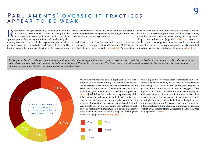### PARLIAMENTS' OVERSIGHT PRACTICES appear to be weak

**Regardless of the legal frameworks that may or may not be** in place, the survey further assessed the strength of the institutional practices of parliaments in the actual loan approval process by looking at the kind and nu in place, the survey further assessed the strength of the institutional practices of parliaments in the actual loan approval process by looking at the kind and number of parliaparliaments are involved, and other such "proxy" indicators. The findings suggest that a number of factors related to capacity and

egardless of the legal frameworks that may or may not be institutional issues lead to a relatively weak ability of parliaments to properly scrutinize loan agreements, including in cases where parliaments enjoy ample legal authority.

mentary committees involved, the stage of the process where A total of 64 percent of parliaments in the surveyed countries are not involved in approval of World Bank and IMF loans at any stage of the process [appendix I: **chart 10**]. Parliamentary

involvement in policy discussions held between World Bank officials and the government prior to the actual loan negotiations, is even less common, with 68 percent stating that they do not take part in such discussions [appendix I: **chart 13**]. However, it should be noted that 46 percent of parliaments that are involved on some level during the loan approval process are also consulted or involved prior to loan negotiations [appendix I: **chart 14**].

In Georgia, the law gives parliament the authority to participate in the entire loan approval process, i.e., from the very early stages until final ratification. In practice however, the parliament does not utilize this authority to perform its oversight role to the extent allowed. In **Nigeria**, the Aid, Loans and Debt Management committee was set up specifically to examine loans that have conditions *attached. The committee, however, was mostly inactive for the first few years.*



is rarely within a formal setting. Governments seldom initiate or organize consultations between parliaments and the World Bank: only 9 percent of parliaments have been invited by their governments to such consultations [appendix I: **chart 13**]. While low, this number sends a positive signal that it is possible for parliaments to be included at this critical stage of consultations under the appropriate conditions. The majority of interactions between parliaments and Bank officials seem to be of an informal nature, such as through workshops or meetings with individual MPs, and in a majority of cases the IMF or the World Bank is the party initiating these etc.) [appendix I: **chart 15**].interactions [appendix I: **chart 13**; **chart 22**].



When involvement prior to loan negotiations does occur, it According to the responses from parliaments only (encompassing 43 parliaments), in the majority of parliaments polled (65 percent) the loan approval process is designed to go through the committee system. This may suggest a fairly high level of scrutiny, since committee review normally affords more time and interaction for informed debate than plenary meetings. Twenty percent of parliaments rely only on a single committee, primarily the finance, budget, or economic committee, while 45 percent have two or more committees involved, with the additional committees focusing on specific areas (infrastructure, agriculture, health, transport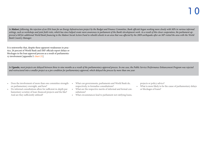*In Malawi, following, the rejection of an IDA loan for an Energy Infrastructure project by the Budget and Finance Committee, Bank officials began working more closely with MPs in various informal*  settings, such as workshops and joint field visits, which has since helped create more awareness in parliament of the Bank's development work. As a result of this closer cooperation, the parliament ap*proved a bill for additional World Bank financing to the Malawi Social Action Fund to rebuild schools in an area that was affected by the 2009 earthquake after an MP visited the area with the World Bank Country Manager.*

It is noteworthy that, despite these apparent weaknesses in practice, 26 percent of World Bank and IMF officials report delays or blockages in the loan approval process as a result of parliamentary involvement [appendix I: **chart 21**].

*In Uganda, most projects are delayed between three to nine months as a result of the parliamentary approval process. In one case, the Public Service Performance Enhancement Program was rejected and restructured into a smaller project as a pre-condition for parliamentary approval, which delayed the process by more than one year.*

- Does the involvement of more than one committee strength- What can governments, parliaments and World Bank do, en parliamentary oversight, and how?
- • Do informal consultations allow for sufficient in-depth parliamentary scrutiny of loan-financed projects and the like? And are they sufficiently utilized?
- respectively, to formalize consultations?
- • What are the respective merits of informal and formal consultations?
- • What circumstances lead to parliament not ratifying loans,

projects or policy advice?

• What is more likely to be the cause of parliamentary delays or blockages of loans?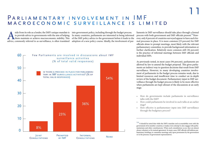### PARLIAMENTARY INVOLVEMENT IN IMF macroeconomic surveillance is limited

side from its role as a lender, the IMF's unique mandate is<br>to provide advice to governments with the aim of helping<br>them maintain or achieve macroeconomic stability. This<br>advice, commonly referred to as surveillance, is o advice, commonly referred to as surveillance, is often translated adoption of a new policy course. Ideally, the involvement of par-

to provide advice to governments with the aim of helping In many countries, parliaments are interested in being informed them maintain or achieve macroeconomic stability. This of the IMF policy advice to the government before it leads to the side from its role as a lender, the IMF's unique mandate is into government policy, including through the budget process.



process with both government and IMF officials present.<sup>10</sup>Howliaments in IMF surveillance should take place through a formal ever, only 8 percent of countries surveyed appear to have such formal processes in place. It is more common (23 percent) for IMF officials alone to prompt meetings, most likely with the relevant parliamentary committee, to provide background information or further clarification. Relatively more common still (36 percent) is the practice of informal meetings between IMF officials and individual MPs.

1 1

As previously noted, in most cases (94 percent), parliaments are allowed by law to amend the budget proposal. This gives parliaments an indirect way to question decisions that result from IMF surveillance. However, in many developing countries involvement of parliaments in the budget process remains weak, due to limited resources and insufficient time to conduct an in-depth review of the budget document. Parliamentary input in IMF surveillance through the budget process is likely to be more effective when parliaments are kept abreast of the discussions at an early stage.

- • How do governments include parliaments in surveillance talks with the IMF?
- How could parliaments be involved in such talks at an earlier stage?
- How effective is parliamentary input into IMF surveillance through the budgetary process?

 $^{\rm 10}$  It should be noted that while the IMF's mandate and accountability rests with the government of its member countries, it makes every attempt to also engage with parliamentarians and other constituencies. When such consultations occur, they are almost always voluntary or by mutual agreement. In many cases, IMF officials will address parliamentary briefings or committee meetings only upon permission by the government or in the presence of government representatives.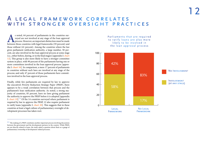### A LEGAL FRAMEWORK CORRELATES WITH STRONGER OVERSIGHT PRACTICES

s noted, 64 percent of parliaments in the countries surveyed are not involved at any stage of the loan approval<br>process. However, an important distinction must be made<br>between those countries with legal frameworks (59 perc veyed are not involved at any stage of the loan approval process. However, an important distinction must be made between those countries with legal frameworks (59 percent) and those without (41 percent). Among the countries where the law gives parliament ratification authority, a large number, 58 percent, are also involved in the loan approval process at some stage (i.e., either before, during, or in the final stages) [appendix I: **chart 12**]. This group is also more likely to have a stronger committee system in place, with 90 percent of the parliaments having one or more committees involved in the loan approval process [appendix I: **chart 16**]. In comparison, a mere 17 percent of parliaments in countries without such laws are involved at any stage of the process; and only 47 percent of those parliaments have committees involved in the loan approval process.

Finally, while few parliaments are required by law to approve the executive's Poverty Reduction Strategy Paper (PRSP), there appears to be a weak correlation between that process and the parliament's loan ratification authority. As noted, a strong majority of countries, 85 percent, have no laws giving parliament the authority to approve the PRSP before it is adopted [appendix I: chart 19].<sup>11</sup> Of the 14 countries surveyed where parliament is required by law to approve the PRSP, 12 also require parliament to ratify loans [appendix I: **chart 20**]. This suggests that in these countries at least a legal culture of parliamentary oversight of development processes has taken root.

Parliaments that are required to ratify loans are also more likely to be involved in the loan approval process



 $^{\text{11}}$  The making of a PRSP constitutes another important process involving discussions between the government and the development partners in the country. While PRSPs are not directly related to loans, the study asked a question about them as a gauge of parliamentary ownership of development-related processes.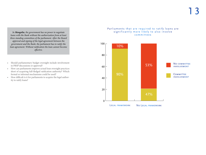*In Mongolia, the government has no power to negotiate loans with the Bank without the authorization from at least three standing committees of the parliament. After the Board approval and signing of the legal agreement between the government and the Bank, the parliament has to ratify the loan agreement. Without ratification the loan cannot become effective.*

- • Should parliamentary budget oversight include involvement in PRSP discussions or approval?
- How can parliaments improve actual loan oversight practices short of acquiring full-fledged ratification authority? Which formal or informal mechanisms could be used?
- • How difficult is it for parliaments to acquire the legal authority to ratify loans?

### Parliaments that are required to ratify loans are significantly more likely to also involve committees

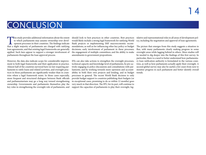# **CONCLUSION**

This study provides additional information about the extent to which parliaments may assume ownership over development processes in their countries. The findings indicate that a slight majority of parliaments are charged w to which parliaments may assume ownership over development processes in their countries. The findings indicate that a slight majority of parliaments are charged with ratifying loan agreements, and that existing legal frameworks are generally applied. Such laws appear to support a stronger involvement of parliaments throughout the loan approval process.

However, the data also indicate scope for considerable improvement to both legal frameworks and their application in practice. Almost half of the countries surveyed have no law requiring parliaments to ratify loans and related activities, and oversight practices in those parliaments are significantly weaker than in countries where a legal framework exists. In those cases especially, more frequent and structured dialogues between Bank officials and parliamentarians may go a long way toward strengthening ownership. Governments and parliaments themselves play the key roles in strengthening the oversight role of parliaments, and

should look to best practices in other countries. Best practices would likely include a strong legal framework for ratifying World Bank projects or implementing IMF macroeconomic recommendations, as well as for influencing other key policy or budget decisions; early involvement of parliament in these processes; the engagement of multiple committees; and the ability to make amendments to government propositions.

IFIs can also take actions to strengthen the oversight processes, technical capacity and knowledge level of parliaments, by pro-actively engaging in policy discussions and consultations with parliaments; and by working towards more openness and accountability in both their own projects and lending, and in budget processes in general. The recent World Bank decision to only provide budget support to countries publishing their budgets (or in exceptional cases, promising to do so within 12 months) goes very much in that direction. The IPU, for its part, will continue to support the capacities of parliaments to play their oversight, leg-

islative and representational roles in all areas of development policy, including the negotiation and approval of loan agreements.

The picture that emerges from this study suggests a situation in flux, with many parliaments clearly making progress in some oversight areas while lagging behind in others. More studies will be needed to dig deeper into the findings of this first survey. In particular, there is a need to better understand how parliamentary loan ratification authority is formulated in the various countries, as well as how parliaments actually apply their oversight. A second global survey may also be useful a few years from now to monitor progress in each parliament and better identify overall trends.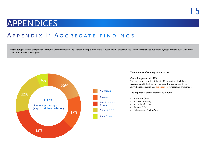# **APPENDICES**

### Appendix I: Aggregate findings

Methodology: In case of significant response discrepancies among sources, attempts were made to reconcile the discrepancies. Whenever that was not possible, responses are dealt with as indicated in italic below each graph





#### **Total number of country responses: 99**

#### **Overall response rate: 72%**

The survey was sent to a total of 137 countries, which have received World Bank or IMF loans and/or are subject to IMF surveillance activities (see **appendix III** for regional groupings).

#### **The regional response rates are as follows:**

- Americas (67%)
- Arab states (55%)
- Asia- Pacific (75%)
- Europe  $(77%)$
- • Sub-Saharan Africa (76%)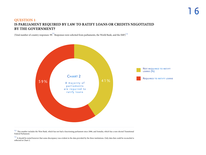### **QUESTION 1**: **IS PARLIAMENT REQUIRED BY LAW TO RATIFY LOANS OR CREDITS NEGOTIATED BY THE GOVERNMENT?**

(Total number of country responses: 99. Responses were solicited from parliaments, the World Bank, and the IMF)<sup>13</sup>



<sup>12</sup> This number includes the West Bank, which has not had a functioning parliament since 2006, and Somalia, which has a non-elected Transitional Federal Parliament.

<sup>13</sup> It should be noted however that some discrepancy was evident in the data provided by the three institutions. Only data that could be reconciled is reflected in Chart 2.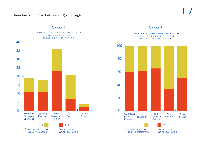### Benchmark I: Break-down of Q1 by region:



### CHART<sub>3</sub>

POURCENTAGE OF COUNTRIES WITH L E G A L F R A M E W O R K IN PLACE [break-down by region]



CHART<sub>4</sub>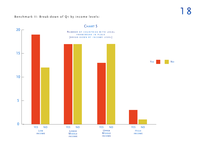Benchmark II: Break-down of Q1 by income levels:



CHART 5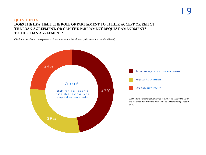### **QUESTION 1A**: **DOES THE LAW LIMIT THE ROLE OF PARLIAMENT TO EITHER ACCEPT OR REJECT THE LOAN AGREEMENT, OR CAN THE PARLIAMENT REQUEST AMENDMENTS TO THE LOAN AGREEMENT?**

(Total number of country responses: 55. Responses were solicited from parliaments and the World Bank)

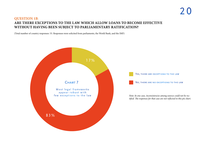### **QUESTION 1B**: **ARE THERE EXCEPTIONS TO THE LAW WHICH ALLOW LOANS TO BECOME EFFECTIVE WITHOUT HAVING BEEN SUBJECT TO PARLIAMENTARY RATIFICATION?**

(Total number of country responses: 53. Responses were solicited from parliaments, the World Bank, and the IMF)

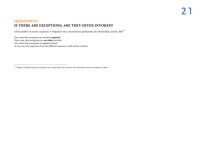### **QUESTION 1C**: **IF THERE ARE EXCEPTIONS, ARE THEY OFTEN INVOKED?**

(Total number of country responses: 9. Responses were solicited from parliaments, the World Bank, and the IMF)  $^\dagger$ 

Four state that exceptions are invoked **regularly**. Three state that exceptions are **not often** invoked. One states that exceptions are **never** invoked. In one case, the responses from the different resources could not be rectified.

 $14$  Malawi and Mali state that exceptions are invoked often, but stated in 1b/1a that there were no exceptions in place.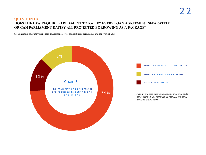### **QUESTION 1D**: **DOES THE LAW REQUIRE PARLIAMENT TO RATIFY EVERY LOAN AGREEMENT SEPARATELY OR CAN PARLIAMENT RATIFY ALL PROJECTED BORROWING AS A PACKAGE?**

(Total number of country responses: 44. Responses were solicited from parliaments and the World Bank)

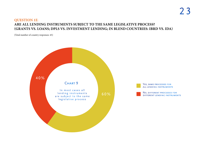# 2 3

### **QUESTION 1E**: **ARE ALL LENDING INSTRUMENTS SUBJECT TO THE SAME LEGISLATIVE PROCESS? (GRANTS VS. LOANS; DPLS VS. INVESTMENT LENDING; IN BLEND COUNTRIES: IBRD VS. IDA)**

(Total number of country responses: 45)

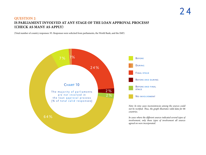### **QUESTION 2**: **IS PARLIAMENT INVOLVED AT ANY STAGE OF THE LOAN APPROVAL PROCESS? (CHECK AS MANY AS APPLY)**

(Total number of country responses: 95. Responses were solicited from parliaments, the World Bank, and the IMF)

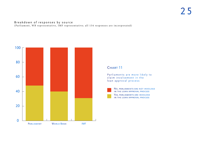### Breakdown of responses by source (Parliament, WB representative, IMF representative; all 134 responses are incorporated)



### CHART 11

Parliaments are more likely to claim involvement in the loan approval process



No, parliaments are not involved in the loan approval process

YES, PARLIAMENTS ARE INVOLVED in the loan approval process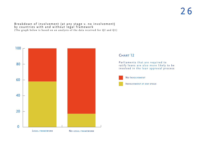### Breakdown of involvement (at any stage v. no involvement) by countries with and without legal framework (The graph below is based on an analysis of the data received for Q2 and Q1)



### CHART 12

Parliaments that are required to ratify loans are also more likely to be involved in the loan approval process



No Involvement



Involvement at any stage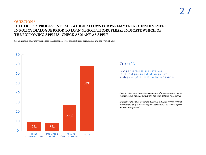### **QUESTION 3**: **IF THERE IS A PROCESS IN PLACE WHICH ALLOWS FOR PARLIAMENTARY INVOLVEMENT IN POLICY DIALOGUE PRIOR TO LOAN NEGOTIATIONS, PLEASE INDICATE WHICH OF THE FOLLOWING APPLIES (CHECK AS MANY AS APPLY)**

(Total number of country responses: 90. Responses were solicited from parliaments and the World Bank)



### CHART 13

Few parliaments are involved in formal pre-negotiation policy dialogues [% of total valid responses]

*Note: In nine cases inconsistencies among the sources could not be rectified. Thus, the graph illustrates the valid data for 78 countries.*

*In cases where one of the different sources indicated several types of involvement, only those types of involvement that all sources agreed on were incorporated.*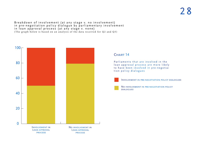Breakdown of involvement (at any stage v. no involvement) in pre-negotiation policy dialogue by parliamentary involvement in loan approval process (at any stage v. none) (The graph below is based on an analysis of the data received for Q2 and Q3)



### CHART 14

Parliaments that are involved in the lo an approval process are more likely to have been involved in pre-negotia tion policy dialogues



Involvement in pre-negotiation policy dialogues

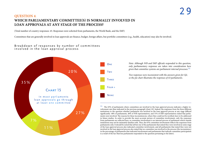### **QUESTION 4**: **WHICH PARLIAMENTARY COMMITTEE(S) IS NORMALLY INVOLVED IN LOAN APPROVALS AT ANY STAGE OF THE PROCESS?**

(Total number of country responses: 45. Responses were solicited from parliaments, the World Bank, and the IMF)

Committees that are generally involved in loan approvals are finance, budget, foreign affairs, but portfolio committees (e.g., health, education) may also be involved.

Breakdown of responses by number of committees involved in the loan approval process





 $15$  The 65% of parliaments where committees are involved in the loan approval process indicates a higher involvement rate than indicated in the previous paragraph [chart 10]. Indeed, the responses from the three different institutions to the question whether parliament was involved in the loan approval process at any stage differed significantly: 48% of parliaments, 40% of WB representatives, and 31% of IMF representatives stated that parliaments were involved. The reasons for these inconsistencies, where they could not be rectified, have to be addressed in future studies. In order to provide the most accurate picture of committee involvement, only the responses from parliaments are reflected here, as committee involvement is an internal process of parliament which outside institutions may not be intimately familiar with. Thus, the 65% committee involvement reflects the responses from parliaments only. It should be noted that all but one of the parliaments that stated they were involved at some stage of the loan approval process also indicated committee involvement, and all parliaments that stated they were not involved in the loan approval process also stated that no committee was involved in the process (the inconsistency in the percentage of parliaments that indicated involvement and parliaments that indicate committee participation is a result of the fact that less parliaments responded to the question pertaining to the latter).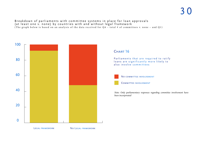# 3 0

### Breakdown of parliaments with committee systems in place for loan approvals (at least one v. none) by countries with and without legal framework (The graph below is based on an analysis of the data received for Q4 – total # of committees v. none – and Q1)



LEGAL FRAMEWORK NO LEGAL FRAMEWORK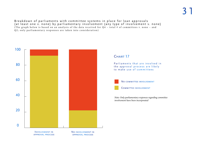# 3 1

Breakdown of parliaments with committee systems in place for loan approvals (at least one v. none) by parliamentary involvement (any type of involvement v. none) (The graph below is based on an analysis of the data received for  $Q4$  - total # of committees v. none - and Q2; only parliamentary responses are taken into consideration)

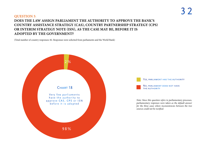### **QUESTION 5**: **DOES THE LAW ASSIGN PARLIAMENT THE AUTHORITY TO APPROVE THE BANK'S COUNTRY ASSISTANCE STRATEGY (CAS), COUNTRY PARTNERSHIP STRATEGY (CPS) OR INTERIM STRATEGY NOTE (ISN), AS THE CASE MAY BE, BEFORE IT IS ADOPTED BY THE GOVERNMENT?**

(Total number of country responses: 82. Responses were solicited from parliaments and the World Bank)

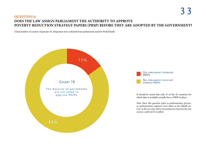### **QUESTION 6**: **DOES THE LAW ASSIGN PARLIAMENT THE AUTHORITY TO APPROVE POVERTY REDUCTION STRATEGY PAPERS (PRSP) BEFORE THEY ARE ADOPTED BY THE GOVERNMENT?**

(Total number of country responses: 92. Responses were solicited from parliaments and the World Bank)

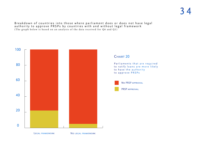Breakdown of countries into those where parliament does or does not have legal authority to approve PRSPs by countries with and without legal framework (The graph below is based on an analysis of the data received for Q6 and Q1)



CHART 20

Parliaments that are required to ratify loans are more likely to have the authority to approve PRSPs



No PRSP approval

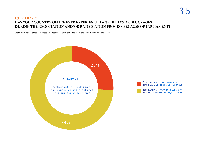### **QUESTION 7**: **HAS YOUR COUNTRY OFFICE EVER EXPERIENCED ANY DELAYS OR BLOCKAGES DURING THE NEGOTIATION AND/OR RATIFICATION PROCESS BECAUSE OF PARLIAMENT?**

(Total number of office responses: 90. Responses were solicited from the World Bank and the IMF)

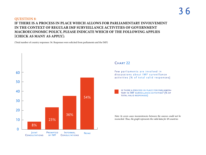### **QUESTION 8**: **IF THERE IS A PROCESS IN PLACE WHICH ALLOWS FOR PARLIAMENTARY INVOLVEMENT IN THE CONTEXT OF REGULAR IMF SURVEILLANCE ACTIVITIES OF GOVERNMENT MACROECONOMIC POLICY, PLEASE INDICATE WHICH OF THE FOLLOWING APPLIES [CHECK AS MANY AS APPLY]:**

(Total number of country responses: 56. Responses were solicited from parliaments and the IMF)



### CHART<sub>22</sub>

Few parliaments are involved in discussions about IMF surveillance activities [% of total valid responses]

is there a process in place for parliamen- tary in IMF surveillance activities? (% of total valid responses)

*Note: In seven cases inconsistencies between the sources could not be reconciled. Thus, the graph represents the valid data for 49 countries*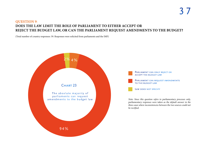### **QUESTION 9**: **DOES THE LAW LIMIT THE ROLE OF PARLIAMENT TO EITHER ACCEPT OR REJECT THE BUDGET LAW, OR CAN THE PARLIAMENT REQUEST AMENDMENTS TO THE BUDGET?**

(Total number of country responses: 59. Responses were solicited from parliaments and the IMF)

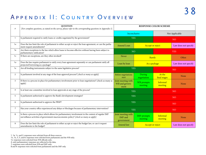### Appendix II: Country Overview

| $\#$            | <b>QUESTION</b><br>[For complete questions, as stated on the survey, please refer to the corresponding questions in Appendix 1]                                                              |                                                    |                               | <b>RESPONSE COLOR SCHEME</b> |                      |  |  |
|-----------------|----------------------------------------------------------------------------------------------------------------------------------------------------------------------------------------------|----------------------------------------------------|-------------------------------|------------------------------|----------------------|--|--|
|                 |                                                                                                                                                                                              |                                                    | Inconclusive                  | Not Applicable               |                      |  |  |
| $\mathbf{1}$    | Is parliament required to ratify loans or credits negotiated by the government?                                                                                                              | <b>YES</b>                                         |                               | NO <sub>1</sub>              |                      |  |  |
| lА              | Does the law limit the role of parliament to either accept or reject the loan agreement, or can the parlia-<br>ment request amendments?                                                      | Amend Loan                                         | <b>Accept or reject</b>       |                              | Law does not specify |  |  |
| 1 <sub>B</sub>  | Are there exceptions to the law which allow loans to become effective without having been subject to<br>parliamentary ratification?                                                          | <b>NO</b>                                          |                               |                              | <b>YES</b>           |  |  |
| 1c              | If there are exceptions, are they often invoked?                                                                                                                                             | <b>Never</b>                                       | Rarely                        |                              | Often                |  |  |
| 1p              | Does the law require parliament to ratify every loan agreement separately or can parliament ratify all<br>projected borrowing as a package?                                                  | Loan by loan                                       | As a package                  | Law does not specify         |                      |  |  |
| 1E              | Are all lending instruments subject to the same legislative process?                                                                                                                         | <b>YES</b>                                         |                               |                              | <b>NO</b>            |  |  |
| $2^{\circ}$     | Is parliament involved at any stage of the loan approval process? [check as many as apply]                                                                                                   | Before negotiations<br>start                       | During<br>negotiation         | At the<br>final stages       | None                 |  |  |
| $\mathbf{3}$    | If there is a process in place for parliamentary involvement prior to loan negotiations? [check as many as<br>apply]                                                                         | Joint meeting with<br>WB and govern-<br>ment       | <b>WB</b> prompts<br>meeting  | Informal<br>meeting          | None                 |  |  |
| $\overline{4}$  | Is at least one committee involved in loan approvals at any stage of the process?                                                                                                            | <b>YES</b>                                         |                               | NO <sub>1</sub>              |                      |  |  |
| 5               | Is parliament authorized to approve the Bank's development strategies?                                                                                                                       | <b>YES</b>                                         |                               | NO <sub>1</sub>              |                      |  |  |
| 6               | Is parliament authorized to approve the PRSP?                                                                                                                                                | <b>YES</b>                                         |                               | NO <sub>1</sub>              |                      |  |  |
| $7\overline{ }$ | Has your country office experienced any delays or blockages because of parliamentary intervention?                                                                                           | <b>YES</b>                                         |                               | NO <sub>1</sub>              |                      |  |  |
| 8               | Is there a process in place which allows for parliamentary involvement in the context of regular IMF<br>surveillance activities of government macroeconomic policy? [check as many as apply] | Joint meeting with<br><b>IMF</b> and<br>government | <b>IMF</b> prompts<br>meeting | Informal<br>meeting          | None                 |  |  |
| 9               | Does the law limit the role of parliament to either accept or reject the budget law, or can it request<br>amendments to the budget?                                                          | Amend law                                          | <b>Accept or reject</b>       | Law does not specify         |                      |  |  |

1, 1b, 1c, and 2: responses were solicited from all three sources;

- 1A, 1D, 3, 5, and 6: responses were solicited from parliaments and the WB only;
- 1e: responses were solicited from WB officials only;
- 4: only parliamentary responses are reflected in the data;
- 7: responses were solicited from WB and IMF only;
- 8 and 9: responses were solicited from parliaments and the IMF only.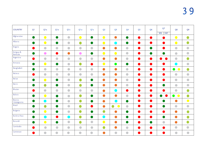| <b>COUNTRY</b>         | Q <sub>1</sub> | Q <sub>1</sub> A                                  | QIB                                               | Q <sub>1c</sub>                                   | QID                                               | QIE                                               | Q <sub>2</sub>          | Q <sub>3</sub>                                    | Q <sub>4</sub>                                    | Q <sub>5</sub> | Q <sub>6</sub> | Q7<br>IMF<br><b>WB</b>                            | Q <sub>8</sub>                                    | Q <sub>9</sub>                                    |
|------------------------|----------------|---------------------------------------------------|---------------------------------------------------|---------------------------------------------------|---------------------------------------------------|---------------------------------------------------|-------------------------|---------------------------------------------------|---------------------------------------------------|----------------|----------------|---------------------------------------------------|---------------------------------------------------|---------------------------------------------------|
| Afghanistan            | $\bullet$      | $\bullet$                                         | $\bullet$                                         | $\begin{array}{c} \bullet \\ \bullet \end{array}$ | $\bullet$                                         | $\bullet$                                         |                         | $\bullet$                                         | $\bullet$                                         | $\bullet$      | D              |                                                   | $\bullet$                                         | O                                                 |
| Albania                | $\bullet$      | $\bullet$                                         | $\bullet$                                         |                                                   | $\bullet$                                         | $\bullet$                                         | $\bullet$               | $\blacksquare$                                    | $\bullet$                                         | D              | $\bullet$      |                                                   | $\bullet$                                         | $\bullet$                                         |
| Angola                 | D              | $\begin{array}{c} \bullet \\ \bullet \end{array}$ | $\begin{array}{c} \bullet \\ \bullet \end{array}$ | $\begin{array}{c} \bullet \\ \bullet \end{array}$ | $\begin{array}{c} \bullet \\ \bullet \end{array}$ |                                                   | $\bullet$               | $\bullet$                                         | $\begin{array}{c} \bullet \\ \bullet \end{array}$ | $\bullet$      | D              | a di                                              |                                                   | $\bullet$                                         |
| Antigua &<br>Barbuda   | $\bullet$      | $\bullet$                                         | $\bullet$                                         | $\bullet$                                         | $\bullet$                                         | $\bullet$                                         | $\bullet$               | $\bullet$                                         | $\begin{array}{c} \bullet \\ \bullet \end{array}$ | $\bullet$      | $\bullet$      | $\bullet$                                         | $\begin{array}{c} \bullet \\ \bullet \end{array}$ | $\begin{array}{c} \bullet \\ \bullet \end{array}$ |
| Argentina              |                | $\begin{array}{c} \bullet \\ \bullet \end{array}$ | $\begin{array}{c} \bullet \\ \bullet \end{array}$ | $\begin{array}{c} \bullet \\ \bullet \end{array}$ | $\begin{array}{c} \bullet \\ \bullet \end{array}$ | $\begin{array}{c} \bullet \\ \bullet \end{array}$ | $\bullet$               | $\bullet$                                         | $\begin{array}{c} \bullet \\ \bullet \end{array}$ | $\bullet$      | $\bullet$      | D                                                 |                                                   | $\bullet$                                         |
| Armania                | D              | $\bigcirc$                                        | $\bullet$                                         | $\begin{array}{c} \bullet \\ \bullet \end{array}$ | $\bullet$                                         |                                                   |                         | $\bullet$                                         | $\bullet$                                         | $\blacksquare$ | $\blacksquare$ |                                                   | $\mathcal{L}$                                     | $\begin{array}{c} \bullet \\ \bullet \end{array}$ |
| Bangladesh             | $\bullet$      | $\begin{array}{c} \bullet \\ \bullet \end{array}$ |                                                   | $\begin{array}{c} \bullet \\ \bullet \end{array}$ | $\begin{array}{c} \bullet \\ \bullet \end{array}$ | $\begin{array}{c} \bullet \\ \bullet \end{array}$ | $\bullet$               | $\bullet$                                         | $\begin{array}{c} \bullet \\ \bullet \end{array}$ | $\blacksquare$ | <b>D</b>       | $\blacksquare$                                    | $\bullet$<br>$\bullet$                            | $\bullet$                                         |
| <b>Belarus</b>         |                | $\begin{array}{c} \bullet \\ \bullet \end{array}$ | $\begin{array}{c} \bullet \\ \bullet \end{array}$ | $\begin{array}{c} \bullet \\ \bullet \end{array}$ | $\bullet$                                         | $\begin{array}{c} \bullet \\ \bullet \end{array}$ | $\bullet$               | $\bullet$                                         | $\begin{array}{c} \bullet \\ \bullet \end{array}$ | $\bullet$      | <b>D</b>       | $\blacksquare$                                    |                                                   | $\begin{array}{c} \bullet \\ \bullet \end{array}$ |
| <b>Belize</b>          | $\bullet$      | $\bullet$                                         | $\bullet$                                         | $\begin{array}{c} \bullet \\ \bullet \end{array}$ | $\bullet$                                         | $\bullet$                                         | $\bullet$               | $\bullet$                                         | $\begin{array}{c} \bullet \\ \bullet \end{array}$ | $\bullet$      | $\bullet$      | $\blacksquare$                                    |                                                   | $\begin{array}{c} \bullet \\ \bullet \end{array}$ |
| Benin                  |                | $\bullet$                                         | $\bullet$                                         | $\begin{array}{c} \bullet \\ \bullet \end{array}$ | $\bullet$                                         | $\bullet$                                         | $\bullet$               | $\bullet$                                         | $\begin{array}{c} \bullet \\ \bullet \end{array}$ | $\bullet$      | $\bullet$      | $\bullet$                                         | $\begin{array}{c} \bullet \\ \bullet \end{array}$ | $\begin{array}{c} \bullet \\ \bullet \end{array}$ |
| Bhutan                 |                | $\begin{array}{c} \bullet \\ \bullet \end{array}$ | $\begin{array}{c} \bullet \\ \bullet \end{array}$ |                                                   | $\begin{array}{c} \bullet \\ \bullet \end{array}$ | $\begin{array}{c} \bullet \\ \bullet \end{array}$ | $\bullet$               | $\qquad \qquad \blacksquare$                      | $\bullet$                                         | $\bullet$      | D              |                                                   | $\begin{array}{c} \bullet \\ \bullet \end{array}$ | $\bullet$                                         |
| <b>Bolivia</b>         | <b>D</b>       | $\bullet$                                         | $\bullet$                                         | $\begin{array}{c} \bullet \\ \bullet \end{array}$ | $\bullet$                                         | $\bullet$                                         | $\bullet$               | $\bullet$                                         | $\begin{array}{c} \bullet \\ \bullet \end{array}$ | D              | D              |                                                   | $\bullet$<br>$\bullet$                            | $\bullet$                                         |
| Bosnia-<br>Herzegovina | a a            | $\blacksquare$                                    | $\bullet$                                         | $\bullet$                                         | $\bullet$                                         | $\bullet$                                         | $\bullet$               | $\blacksquare$                                    | $\bullet$                                         | $\bullet$      | $\bullet$      |                                                   | $\bullet$                                         | $\bullet$                                         |
| <b>Brazil</b>          | H)             | $\bullet$                                         | $\bullet$                                         | $\begin{array}{c} \bullet \\ \bullet \end{array}$ | $\bullet$                                         |                                                   | $\bullet$               | $\bullet$<br>$\bullet$                            | $\begin{array}{c} \bullet \\ \bullet \end{array}$ | $\bullet$      | a b            | $\blacksquare$                                    | $\begin{array}{c} \bullet \\ \bullet \end{array}$ | $\begin{array}{c} \bullet \\ \bullet \end{array}$ |
| <b>Bulgaria</b>        |                | $\bigcirc$                                        | $\bullet$                                         | $\begin{array}{c} \bullet \\ \bullet \end{array}$ | $\bullet$                                         | $\bullet$                                         | $\bullet$               | $\bullet$                                         | $\bullet$                                         | $\bullet$      | u.             |                                                   | $\bullet$                                         | $\bullet$                                         |
| Burkina Faso           |                |                                                   |                                                   |                                                   |                                                   |                                                   |                         |                                                   |                                                   |                |                |                                                   | œ                                                 |                                                   |
| Burundi                | $\bullet$      | $\bullet$                                         | $\bullet$                                         |                                                   | $\bullet$                                         |                                                   | $\overline{\mathbf{C}}$ | $\bullet$                                         | $\bullet$                                         | $\bullet$      | U              | $\begin{array}{c} \bullet \\ \bullet \end{array}$ | $\bullet$                                         | $\bullet$                                         |
| Cambodia               | D              | $\begin{array}{c} \bullet \\ \bullet \end{array}$ | $\bullet$                                         | $\begin{array}{c} \bullet \\ \bullet \end{array}$ | $\bullet$                                         | $\bullet$                                         | $\bullet$               | $\bullet$                                         | $\begin{array}{c} \bullet \\ \bullet \end{array}$ | $\bullet$      | D              | $\bullet$                                         | $\begin{array}{c} \bullet \\ \bullet \end{array}$ | $\begin{array}{c} \bullet \\ \bullet \end{array}$ |
| Cameroon               |                |                                                   |                                                   |                                                   |                                                   |                                                   | $\bullet$               | $\begin{array}{c} \bullet \\ \bullet \end{array}$ | $\begin{array}{c} \bullet \\ \bullet \end{array}$ | $\bullet$      | a l            |                                                   |                                                   |                                                   |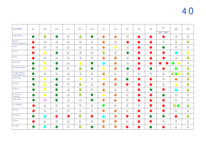| <b>COUNTRY</b>                   | Q1             | Q <sub>1</sub> A                                  | Q <sub>1B</sub>                                   | QIc                                               | QID                                               | QIE                                               | Q <sub>2</sub>         | Q <sub>3</sub>                                    | Q <sub>4</sub>                                    | Q <sub>5</sub> | Q <sub>6</sub>                                    | Q7<br>WB<br>IMF                                   | Q <sub>8</sub>                                    | Q <sub>9</sub>                                    |
|----------------------------------|----------------|---------------------------------------------------|---------------------------------------------------|---------------------------------------------------|---------------------------------------------------|---------------------------------------------------|------------------------|---------------------------------------------------|---------------------------------------------------|----------------|---------------------------------------------------|---------------------------------------------------|---------------------------------------------------|---------------------------------------------------|
| Cape Verde                       | $\bullet$      | $\bullet$                                         | $\bullet$                                         | $\begin{array}{c} \bullet \\ \bullet \end{array}$ | $\bullet$                                         | $\bullet$                                         | $\bullet$              | $\bullet$                                         | $\bullet$                                         |                |                                                   |                                                   | $\begin{array}{c} \bullet \\ \bullet \end{array}$ | $\begin{array}{c} \bullet \\ \bullet \end{array}$ |
| Central<br>African Republic      |                | $\begin{array}{c} \bullet \\ \bullet \end{array}$ | $\begin{array}{c} \bullet \\ \bullet \end{array}$ | $\begin{array}{c} \bullet \\ \bullet \end{array}$ | $\bullet$                                         | $\bullet$                                         | $\bullet$              | $\bullet$                                         | $\bullet$                                         | $\bullet$      | D                                                 | $\begin{array}{c} \bullet \\ \bullet \end{array}$ | $\bullet$                                         | $\bullet$                                         |
| Chad                             |                | $\begin{array}{c} \bullet \\ \bullet \end{array}$ | $\begin{array}{c} \bullet \\ \bullet \end{array}$ | $\begin{array}{c} \bullet \\ \bullet \end{array}$ | $\bullet$                                         | $\begin{array}{c} \bullet \\ \bullet \end{array}$ | $\bullet$              | $\bullet$                                         | $\bullet$                                         |                | a b                                               |                                                   | $\begin{array}{c} \bullet \\ \bullet \end{array}$ | $\begin{array}{c} \bullet \\ \bullet \end{array}$ |
| Chile                            |                | $\bullet$                                         | $\bullet$                                         | $\begin{array}{c} \bullet \\ \bullet \end{array}$ | $\bullet$                                         | $\bullet$                                         | $\bullet$              | $\begin{array}{c} \bullet \\ \bullet \end{array}$ | $\bullet$                                         | $\bullet$      | D                                                 |                                                   | $\bullet$                                         | $\bullet$                                         |
| China                            |                | $\bullet$                                         | $\begin{array}{c} \bullet \\ \bullet \end{array}$ | $\begin{array}{c} \bullet \\ \bullet \end{array}$ | $\begin{array}{c} \bullet \\ \bullet \end{array}$ | $\begin{array}{c} \bullet \\ \bullet \end{array}$ | $\bullet$              | $\bullet$                                         | $\begin{array}{c} \bullet \\ \bullet \end{array}$ | $\bullet$      | $\blacksquare$                                    |                                                   | $\begin{array}{c} \bullet \\ \bullet \end{array}$ | $\bullet$                                         |
| Colombia                         |                | $\bullet$                                         | $\bullet$                                         | $\begin{array}{c} \bullet \\ \bullet \end{array}$ | $\bullet$                                         | $\bullet$                                         | C.                     | $\bullet$                                         | $\begin{array}{c} \bullet \\ \bullet \end{array}$ | $\bullet$      | $\bullet$                                         |                                                   | $\bullet$<br>$\bullet$                            | $\begin{array}{c} \bullet \\ \bullet \end{array}$ |
| Congo Republic                   | $\bullet$      | $\bullet$                                         | $\bullet$                                         | $\begin{array}{c} \bullet \\ \bullet \end{array}$ | $\bullet$                                         | $\bullet$                                         | $\bullet$              | $\bullet$                                         | $\bullet$                                         | $\bullet$      | $\bullet$                                         |                                                   | $\bullet$                                         | $\bullet$                                         |
| Congo (Demo-<br>cratic Republic) | $\bullet$      | $\begin{array}{c} \bullet \\ \bullet \end{array}$ | $\begin{array}{c} \bullet \\ \bullet \end{array}$ | $\begin{array}{c} \bullet \\ \bullet \end{array}$ | $\begin{array}{c} \bullet \\ \bullet \end{array}$ | $\bullet$                                         | $\bullet$              |                                                   |                                                   | $\bullet$      | $\begin{array}{c} \bullet \\ \bullet \end{array}$ | $\begin{array}{c} \bullet \\ \bullet \end{array}$ | $\bullet$<br>$\bullet\bullet$                     | $\bullet$                                         |
| Costa Rica                       | $\blacksquare$ | $\bullet$                                         | $\bullet$                                         | $\begin{array}{c} \bullet \\ \bullet \end{array}$ | $\bullet$                                         | $\begin{array}{c} \bullet \\ \bullet \end{array}$ | $\bullet$              | $\bullet$                                         | $\bullet$                                         |                | a b                                               | $\bullet$                                         | $\bullet$                                         | $\bullet$                                         |
| Croatia                          | $\bullet$      | $\bullet$                                         | $\bullet$                                         |                                                   | $\bullet$                                         | $\begin{array}{c} \bullet \\ \bullet \end{array}$ | $\bullet$              | $\bullet$                                         | $\bullet$                                         |                | D                                                 | $\bullet$                                         | $\bullet$                                         | $\bullet$                                         |
| Djibouti                         | D              | $\bullet$                                         | $\bullet$                                         | $\begin{array}{c} \bullet \\ \bullet \end{array}$ | $\bullet$                                         | $\begin{array}{c} \bullet \\ \bullet \end{array}$ | $\bullet$              | $\begin{array}{c} \bullet \\ \bullet \end{array}$ | $\begin{array}{c} \bullet \\ \bullet \end{array}$ | a d            | $\bullet$                                         |                                                   | $\qquad \qquad \blacksquare$                      | $\bullet$                                         |
| Dominican<br>Republic            | D              | $\bullet$                                         | $\bullet$                                         | $\begin{array}{c} \bullet \\ \bullet \end{array}$ | $\bullet$                                         | $\bullet$                                         | $\bullet$              | $\bullet$                                         | $\begin{array}{c} \bullet \\ \bullet \end{array}$ | H.             | $\blacksquare$                                    |                                                   | $\begin{array}{c} \bullet \\ \bullet \end{array}$ | $\begin{array}{c} \bullet \\ \bullet \end{array}$ |
| East Timor                       | $\bullet$      | $\bullet$                                         | $\bullet$                                         | $\begin{array}{c} \bullet \\ \bullet \end{array}$ | $\begin{array}{c} \bullet \\ \bullet \end{array}$ | $\bullet$                                         | $\bullet$              | $\bullet$                                         | $\begin{array}{c} \bullet \\ \bullet \end{array}$ | Ð              | a b                                               |                                                   | $\begin{array}{c} \bullet \\ \bullet \end{array}$ | $\begin{array}{c} \bullet \\ \bullet \end{array}$ |
| El Salvador                      | ×,             | $\bullet$                                         | $\begin{array}{c} \bullet \\ \bullet \end{array}$ | $\begin{array}{c} \bullet \\ \bullet \end{array}$ | $\begin{array}{c} \bullet \\ \bullet \end{array}$ | $\begin{array}{c} \bullet \\ \bullet \end{array}$ | $\bullet$              | $\begin{array}{c} \bullet \\ \bullet \end{array}$ | $\bullet$                                         | $\bullet$      | D                                                 |                                                   | $\bullet$ $\bullet$                               | $\bullet$                                         |
| Eritrea                          |                | $\begin{array}{c} \bullet \\ \bullet \end{array}$ | $\begin{array}{c} \bullet \\ \bullet \end{array}$ | $\begin{array}{c} \bullet \\ \bullet \end{array}$ | $\begin{array}{c} \bullet \\ \bullet \end{array}$ | $\begin{array}{c} \bullet \\ \bullet \end{array}$ | $\bullet$              | $\bullet$                                         | $\begin{array}{c} \bullet \\ \bullet \end{array}$ |                | D                                                 |                                                   | $\begin{array}{c} \bullet \\ \bullet \end{array}$ | $\begin{array}{c} \bullet \\ \bullet \end{array}$ |
| Ethiopia                         | D              | $\mathcal{L}$                                     | $\bullet$                                         | $\bullet$                                         | $\bullet$                                         | $\bullet$                                         | <b>Service Service</b> | $\bullet$                                         | $\bullet$                                         |                | $\bullet$                                         |                                                   | $\bullet$                                         | $\bullet$                                         |
| Gabon                            |                | $\begin{array}{c} \bullet \\ \bullet \end{array}$ | $\begin{array}{c} \bullet \\ \bullet \end{array}$ |                                                   |                                                   | $\begin{array}{c} \bullet \\ \bullet \end{array}$ | $\bullet$              | $\bullet$                                         | $\begin{array}{c} \bullet \\ \bullet \end{array}$ |                |                                                   | $\bullet$                                         | $\begin{array}{c} \bullet \\ \bullet \end{array}$ | $\begin{array}{c} \bullet \\ \bullet \end{array}$ |
| Gambia                           | <b>D</b>       | - 1                                               | $\qquad \qquad \blacksquare$                      |                                                   |                                                   |                                                   | $\bullet$              | $\bullet$                                         |                                                   |                |                                                   |                                                   | $\bullet$                                         | $\bullet$                                         |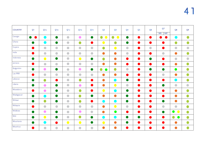| <b>COUNTRY</b>   | Q <sub>1</sub> | QIA                                               | Q <sub>1</sub> B                                  | Q <sub>1c</sub>                                   | QID                                               | QIE                                               | Q <sub>2</sub>              | Q <sub>3</sub>             | Q <sub>4</sub>                                    | Q <sub>5</sub> | Q <sub>6</sub>                                    | Q7<br><b>WB</b><br><b>IMF</b>                     | Q <sub>8</sub>                                    | Q <sub>9</sub>                                    |
|------------------|----------------|---------------------------------------------------|---------------------------------------------------|---------------------------------------------------|---------------------------------------------------|---------------------------------------------------|-----------------------------|----------------------------|---------------------------------------------------|----------------|---------------------------------------------------|---------------------------------------------------|---------------------------------------------------|---------------------------------------------------|
| Georgia          |                | C.                                                | $\bullet$                                         | $\bullet$                                         | $\bullet$                                         | $\bullet$                                         | $\bullet$<br>$\blacksquare$ | $\bullet$<br>$\bullet$     | $\bullet$                                         |                |                                                   |                                                   | $\overline{\phantom{a}}$                          | $\bullet$                                         |
| Ghana            | $\bullet$      |                                                   | $\bullet$                                         | $\begin{array}{c} \bullet \\ \bullet \end{array}$ | $\bullet$                                         | D                                                 |                             | $\bullet$                  | $\bullet$                                         | $\blacksquare$ | a B                                               |                                                   | $\bullet$                                         | $\bullet$                                         |
| Guyana           |                | $\begin{array}{c} \bullet \\ \bullet \end{array}$ | $\begin{array}{c} \bullet \\ \bullet \end{array}$ | $\begin{array}{c} \bullet \\ \bullet \end{array}$ | $\begin{array}{c} \bullet \\ \bullet \end{array}$ | $\begin{array}{c} \bullet \\ \bullet \end{array}$ | $\bullet$                   | $\bullet$                  | $\begin{array}{c} \bullet \\ \bullet \end{array}$ | $\blacksquare$ | $\begin{array}{c} \bullet \\ \bullet \end{array}$ |                                                   | $\begin{array}{c} \bullet \\ \bullet \end{array}$ | $\begin{array}{c} \bullet \\ \bullet \end{array}$ |
| India            |                | $\begin{array}{c} \bullet \\ \bullet \end{array}$ | $\begin{array}{c} \bullet \\ \bullet \end{array}$ | $\begin{array}{c} \bullet \\ \bullet \end{array}$ |                                                   | $\begin{array}{c} \bullet \\ \bullet \end{array}$ | $\bullet$                   | $\bullet$                  | $\begin{array}{c} \bullet \\ \bullet \end{array}$ | u.             | a)                                                | $\begin{array}{c} \bullet \\ \bullet \end{array}$ | $\bullet$                                         | $\bullet$                                         |
| Indonesia        | $\bullet$      | $\bullet$                                         | $\bullet$                                         | $\bullet$                                         | $\bullet$                                         | $\bullet$                                         | $\bullet$                   | $\bullet$                  | O                                                 | D              | $\bullet$                                         | Ð                                                 | $\begin{array}{c} \bullet \\ \bullet \end{array}$ | $\begin{array}{c} \bullet \\ \bullet \end{array}$ |
| Jamaica          |                | $\begin{array}{c} \bullet \\ \bullet \end{array}$ | $\begin{array}{c} \bullet \\ \bullet \end{array}$ | $\begin{array}{c} \bullet \\ \bullet \end{array}$ | $\bullet$                                         | $\begin{array}{c} \bullet \\ \bullet \end{array}$ | $\bullet$                   | $\bullet$                  | $\bullet$                                         | $\bullet$      |                                                   |                                                   | $\bullet$                                         | $\bullet$                                         |
| Kyrgyzstan       | $\bullet$      | $\bullet$                                         | $\bullet$                                         | $\begin{array}{c} \bullet \\ \bullet \end{array}$ | $\bullet$                                         | $\bullet$                                         | $\bullet$<br>$\bullet$      | $\bullet$                  | $\begin{array}{c} \bullet \\ \bullet \end{array}$ | n.             | D                                                 | $\bullet$                                         | $\bullet$                                         | $\bullet$                                         |
| Lao PRR          |                | $\bullet$                                         | $\begin{array}{c} \bullet \\ \bullet \end{array}$ | $\begin{array}{c} \bullet \\ \bullet \end{array}$ |                                                   | $\begin{array}{c} \bullet \\ \bullet \end{array}$ | $\bullet$                   | $\bullet$                  | $\bullet$                                         |                | ×.                                                | $\begin{array}{c} \bullet \\ \bullet \end{array}$ | $\bullet$                                         | $\bullet$                                         |
| Lebanon          | $\bullet$      | $\bullet$                                         | $\bullet$                                         | $\begin{array}{c} \bullet \\ \bullet \end{array}$ | $\bullet$                                         | D                                                 | $\bullet$                   | $\overline{\phantom{a}}$   | $\bullet$                                         | Ð              | a s                                               |                                                   | $\bullet$                                         | $\bullet$                                         |
| Liberia          |                | $\bullet$                                         | $\bullet$                                         | $\bullet$                                         | $\bullet$                                         | <b>D</b>                                          | $\bullet$                   | $\bullet$                  | $\begin{array}{c} \bullet \\ \bullet \end{array}$ |                |                                                   |                                                   | $\bullet$                                         | $\begin{array}{c} \bullet \\ \bullet \end{array}$ |
| Macedonia        |                | $\bullet$                                         | $\bullet$                                         | $\bullet$                                         | $\bullet$                                         | D                                                 | $\bullet$                   | г.                         | $\bullet$                                         | D              | ×.                                                |                                                   | $\bullet$                                         | $\bullet$                                         |
| Madagascar       | $\bullet$      | e e                                               | $\bullet$                                         | $\begin{array}{c} \bullet \\ \bullet \end{array}$ | $\bullet$                                         | D                                                 | $\bullet$                   | $\bullet$                  | $\bullet$                                         |                |                                                   |                                                   | $\bullet$                                         | $\bullet$                                         |
| Malawi           | $\bullet$      | $\bullet$                                         | $\bullet$                                         | $\begin{array}{c} \bullet \\ \bullet \end{array}$ | $\bullet$                                         | $\bullet$                                         | C.                          | $\mathcal{L}(\mathcal{A})$ | $\bullet$                                         | $\blacksquare$ | ×.                                                |                                                   | $\bullet$                                         | $\bullet$                                         |
| Malaysia         |                | $\begin{array}{c} \bullet \\ \bullet \end{array}$ |                                                   | $\begin{array}{c} \bullet \\ \bullet \end{array}$ | $\bullet$                                         | $\begin{array}{c} \bullet \\ \bullet \end{array}$ | $\bullet$                   | $\bullet$                  | $\begin{array}{c} \bullet \\ \bullet \end{array}$ | D              | r i                                               | $\begin{array}{c} \bullet \\ \bullet \end{array}$ | $\bullet$                                         | $\bullet$                                         |
| Maldives         | $\bullet$      | $\bullet$                                         | $\bullet$                                         | $\bullet$                                         | $\bullet$                                         | $\begin{array}{c} \bullet \\ \bullet \end{array}$ | $\bullet$                   | $\bullet$                  | $\bullet$                                         | $\bullet$      |                                                   |                                                   | $\bullet$<br>$\bullet$                            | $\bullet$                                         |
| Mali             | $\bullet$      | $\overline{\mathbf{C}}$                           | $\bullet$                                         | $\begin{array}{c} \bullet \\ \bullet \end{array}$ | $\bullet$                                         | $\bullet$                                         | o a                         | - 1                        | $\bullet$                                         | a a l          |                                                   |                                                   | $\bullet$<br>$\bullet$                            | $\bullet$                                         |
| Mauritania       |                | C.                                                | $\blacksquare$                                    | $\bullet$                                         | $\bullet$                                         | $\bullet$                                         | $\bullet$                   | $\bullet$                  | $\bullet$                                         |                |                                                   |                                                   | $\bullet$                                         | $\bullet$                                         |
| <b>Mauritius</b> |                | $\bullet$                                         | $\bullet$                                         | $\blacksquare$                                    | $\bullet$                                         | $\bullet$                                         | $\bullet$                   | $\bullet$                  | $\bullet$                                         |                |                                                   |                                                   | $\bullet$                                         | $\bullet$                                         |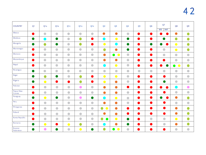# 4 2

| <b>COUNTRY</b>        | Q <sub>1</sub> | <b>Q</b> <sub>1</sub> A                           | Q <sub>1B</sub>                                   | QIC                                               | QID                                               | QIE                                               | Q <sub>2</sub>                                    | Q <sub>3</sub>                                    | Q <sub>4</sub>                                    | Q <sub>5</sub> | Q <sub>6</sub>                                    | Q7<br>W B<br><b>IMF</b>                           | Q <sub>8</sub>                                    | Q <sub>9</sub>                                    |
|-----------------------|----------------|---------------------------------------------------|---------------------------------------------------|---------------------------------------------------|---------------------------------------------------|---------------------------------------------------|---------------------------------------------------|---------------------------------------------------|---------------------------------------------------|----------------|---------------------------------------------------|---------------------------------------------------|---------------------------------------------------|---------------------------------------------------|
| Mexico                |                | $\begin{array}{c} \bullet \\ \bullet \end{array}$ | $\begin{array}{c} \bullet \\ \bullet \end{array}$ | $\begin{array}{c} \bullet \\ \bullet \end{array}$ | $\bullet$                                         |                                                   | $\bullet$                                         | $\bullet$                                         | $\begin{array}{c} \bullet \\ \bullet \end{array}$ |                | a)                                                | ×.                                                | $\bullet$                                         | $\bullet$                                         |
| Moldova               | $\bullet$      |                                                   | $\bullet$                                         | $\begin{array}{c} \bullet \\ \bullet \end{array}$ | $\bullet$                                         | D                                                 |                                                   | $\bullet$                                         | $\bullet$                                         |                | $\bullet$                                         |                                                   | $\bullet$                                         | $\bullet$                                         |
| Mongolia              | $\bullet$      | $\bullet$                                         | $\bullet$                                         | $\begin{array}{c} \bullet \\ \bullet \end{array}$ | $\bullet$                                         | a b                                               | $\bullet$                                         |                                                   | $\bullet$                                         |                | D                                                 |                                                   | $\bullet$                                         | $\bullet$                                         |
| Montenegro            | $\bullet$      | $\begin{array}{c} \bullet \\ \bullet \end{array}$ |                                                   | $\begin{array}{c} \bullet \\ \bullet \end{array}$ | $\begin{array}{c} \bullet \\ \bullet \end{array}$ | $\begin{array}{c} \bullet \\ \bullet \end{array}$ | $\bullet$                                         | $\bullet$                                         | $\bullet$                                         |                | $\bullet$                                         |                                                   | $\bullet$                                         | $\bullet$                                         |
| Morocco               |                | $\bullet$                                         | $\begin{array}{c} \bullet \\ \bullet \end{array}$ | $\begin{array}{c} \bullet \\ \bullet \end{array}$ | $\begin{array}{c} \bullet \\ \bullet \end{array}$ | $\begin{array}{c} \bullet \\ \bullet \end{array}$ | $\bullet$                                         | $\bullet$                                         | $\begin{array}{c} \bullet \\ \bullet \end{array}$ |                | a a                                               | $\begin{array}{c} \bullet \\ \bullet \end{array}$ |                                                   | $\begin{array}{c} \bullet \\ \bullet \end{array}$ |
| Mozambique            |                | $\begin{array}{c} \bullet \\ \bullet \end{array}$ | $\begin{array}{c} \bullet \\ \bullet \end{array}$ | $\begin{array}{c} \bullet \\ \bullet \end{array}$ | $\bullet$                                         | $\begin{array}{c} \bullet \\ \bullet \end{array}$ | $\bullet$                                         | $\bullet$                                         | $\begin{array}{c} \bullet \\ \bullet \end{array}$ |                | $\bullet$                                         | $\bullet$                                         | $\begin{array}{c} \bullet \\ \bullet \end{array}$ | $\begin{array}{c} \bullet \\ \bullet \end{array}$ |
| Nepal                 |                | $\begin{array}{c} \bullet \\ \bullet \end{array}$ | $\begin{array}{c} \bullet \\ \bullet \end{array}$ | $\begin{array}{c} \bullet \\ \bullet \end{array}$ |                                                   | $\begin{array}{c} \bullet \\ \bullet \end{array}$ |                                                   | $\bullet$                                         | $\begin{array}{c} \bullet \\ \bullet \end{array}$ |                | $\bullet$                                         | $\bullet$                                         | $\bullet$<br>$\bullet$                            | $\bullet$                                         |
| Nicaragua             |                | $\begin{array}{c} \bullet \\ \bullet \end{array}$ | $\begin{array}{c} \bullet \\ \bullet \end{array}$ | $\begin{array}{c} \bullet \\ \bullet \end{array}$ | $\begin{array}{c} \bullet \\ \bullet \end{array}$ | $\begin{array}{c} \bullet \\ \bullet \end{array}$ | $\begin{array}{c} \bullet \\ \bullet \end{array}$ | $\begin{array}{c} \bullet \\ \bullet \end{array}$ | $\begin{array}{c} \bullet \\ \bullet \end{array}$ | $\bullet$      | $\begin{array}{c} \bullet \\ \bullet \end{array}$ | $\begin{array}{c} \bullet \\ \bullet \end{array}$ |                                                   | $\begin{array}{c} \bullet \\ \bullet \end{array}$ |
| Niger                 | $\bullet$      | O                                                 | $\bullet$                                         | $\begin{array}{c} \bullet \\ \bullet \end{array}$ | $\bullet$                                         | a d                                               | $\bullet$                                         | $\bullet$                                         | $\begin{array}{c} \bullet \\ \bullet \end{array}$ |                | a b                                               | $\bullet$                                         |                                                   | $\begin{array}{c} \bullet \\ \bullet \end{array}$ |
| Nigeria               |                | $\bullet$                                         | $\bullet$                                         | $\bullet$                                         | $\bullet$                                         | a b                                               | $\bullet$                                         | $\bullet$                                         | $\begin{array}{c} \bullet \\ \bullet \end{array}$ |                | D                                                 | $\bullet$                                         | $\begin{array}{c} \bullet \\ \bullet \end{array}$ | $\begin{array}{c} \bullet \\ \bullet \end{array}$ |
| Pakistan              |                | $\bullet$                                         | $\begin{array}{c} \bullet \\ \bullet \end{array}$ | $\begin{array}{c} \bullet \\ \bullet \end{array}$ | $\bullet$                                         | $\begin{array}{c} \bullet \\ \bullet \end{array}$ | $\bullet$                                         | $\bullet$                                         | $\bullet$                                         |                | $\bullet$                                         | o de la provi                                     | e d                                               | $\bullet$                                         |
| Papua New<br>Guinea   | $\bullet$      | $\bullet$                                         | $\begin{array}{c} \bullet \\ \bullet \end{array}$ | $\begin{array}{c} \bullet \\ \bullet \end{array}$ | $\bullet$                                         | $\begin{array}{c} \bullet \\ \bullet \end{array}$ | $\bullet$                                         | $\bullet$                                         | $\begin{array}{c} \bullet \\ \bullet \end{array}$ |                | $\bullet$                                         |                                                   | $\begin{array}{c} \bullet \\ \bullet \end{array}$ | $\begin{array}{c} \bullet \\ \bullet \end{array}$ |
| Paraguay              |                | $\bullet$                                         | $\bullet$                                         | $\begin{array}{c} \bullet \\ \bullet \end{array}$ | $\bullet$                                         | $\bullet$                                         |                                                   | $\bullet$                                         | $\begin{array}{c} \bullet \\ \bullet \end{array}$ |                | D                                                 |                                                   | $\bullet$                                         | $\bullet$                                         |
| Peru                  |                | $\bullet$                                         | $\begin{array}{c} \bullet \\ \bullet \end{array}$ | $\begin{array}{c} \bullet \\ \bullet \end{array}$ | $\begin{array}{c} \bullet \\ \bullet \end{array}$ | $\begin{array}{c} \bullet \\ \bullet \end{array}$ | $\bullet$                                         | $\bullet$                                         | $\begin{array}{c} \bullet \\ \bullet \end{array}$ |                | $\bullet$                                         | D                                                 | $\begin{array}{c} \bullet \\ \bullet \end{array}$ |                                                   |
| Philippines           |                | $\bullet$                                         | $\begin{array}{c} \bullet \\ \bullet \end{array}$ | $\begin{array}{c} \bullet \\ \bullet \end{array}$ | $\bullet$                                         | $\bullet$                                         | $\bullet$<br>$\bullet$                            | $\bullet$                                         | $\bullet$                                         |                | a)                                                | $\bullet$                                         | $\bullet$                                         | $\bullet$                                         |
| Poland                |                | $\bullet$                                         | $\begin{array}{c} \bullet \\ \bullet \end{array}$ | $\begin{array}{c} \bullet \\ \bullet \end{array}$ | $\bullet$                                         | $\begin{array}{c} \bullet \\ \bullet \end{array}$ |                                                   |                                                   | D                                                 |                |                                                   |                                                   | $\blacksquare$                                    |                                                   |
| Korea Republic        |                | $\bullet$                                         | $\begin{array}{c} \bullet \\ \bullet \end{array}$ |                                                   | $\begin{array}{c} \bullet \\ \bullet \end{array}$ |                                                   | $\bullet$<br>$\bullet$                            | $\bullet$                                         | $\bullet$                                         | Ð              | $\begin{array}{c} \bullet \\ \bullet \end{array}$ |                                                   | $\bullet$                                         | $\bullet$                                         |
| Romania               | $\bullet$      | $\bullet$                                         | $\bullet$                                         | $\bullet$                                         | $\bullet$                                         | $\begin{array}{c} \bullet \\ \bullet \end{array}$ |                                                   | $\bullet$                                         | $\bullet$                                         | u.             | $\bullet$                                         | $\begin{array}{c} \bullet \\ \bullet \end{array}$ | $\bullet$                                         | $\bullet$                                         |
| Russian<br>Federation | $\bullet$      | $\bullet$                                         | $\bullet$                                         |                                                   | $\bullet$                                         | $\bullet$                                         | $\bullet$                                         | $\bullet$ $\bullet$                               | $\begin{array}{c} \bullet \\ \bullet \end{array}$ | D              | D                                                 | $\bullet$                                         |                                                   |                                                   |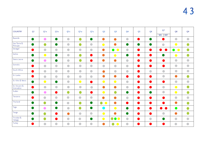| <b>COUNTRY</b>             | Q1             | QIA                                               | Q <sub>1B</sub>                                   | Q <sub>1c</sub>                                   | QID                                               | QIE                                               | Q <sub>2</sub>                                    | Q <sub>3</sub>          | Q <sub>4</sub>                                    | Q <sub>5</sub> | Q <sub>6</sub>                                    | Q7                                                | Q <sub>8</sub>                                    | Q <sub>9</sub>                                    |
|----------------------------|----------------|---------------------------------------------------|---------------------------------------------------|---------------------------------------------------|---------------------------------------------------|---------------------------------------------------|---------------------------------------------------|-------------------------|---------------------------------------------------|----------------|---------------------------------------------------|---------------------------------------------------|---------------------------------------------------|---------------------------------------------------|
| Rwanda                     |                |                                                   |                                                   |                                                   |                                                   |                                                   |                                                   |                         |                                                   |                |                                                   | $W$ B<br>IMF                                      |                                                   |                                                   |
|                            | $\bullet$      | $\bullet$                                         | $\bullet$                                         | $\begin{array}{c} \bullet \\ \bullet \end{array}$ | $\bullet$                                         | $\bullet$                                         | $\bullet$                                         | $\bullet$               | $\begin{array}{c} \bullet \\ \bullet \end{array}$ | a b            | $\bullet$                                         |                                                   | $\begin{array}{c} \bullet \\ \bullet \end{array}$ |                                                   |
| Sao Tome &<br>Principe     | $\bullet$      | $\bullet$                                         | $\bullet$                                         | $\begin{array}{c} \bullet \\ \bullet \end{array}$ | $\bullet$                                         | $\begin{array}{c} \bullet \\ \bullet \end{array}$ | $\bullet$                                         | $\bullet$               | $\bullet$                                         | <b>D</b>       | $\bullet$                                         | $\bullet$                                         | $\bullet$                                         | $\bullet$                                         |
| Senegal                    | $\blacksquare$ | $\begin{array}{c} \bullet \\ \bullet \end{array}$ | $\begin{array}{c} \bullet \\ \bullet \end{array}$ | $\begin{array}{c} \bullet \\ \bullet \end{array}$ | $\begin{array}{c} \bullet \\ \bullet \end{array}$ | $\begin{array}{c} \bullet \\ \bullet \end{array}$ | $\bullet$                                         | $\bullet$<br>$\bullet$  | $\bullet$                                         |                | D                                                 |                                                   | $\bullet$<br>$\bullet$                            | $\bullet$                                         |
| Serbia                     | $\bullet$      | $\bullet$                                         | w                                                 | $\begin{array}{c} \bullet \\ \bullet \end{array}$ | $\bullet$                                         | $\bullet$                                         | $\bullet$                                         | $\bullet$               | $\bullet$                                         |                | a)                                                |                                                   | $\bullet$                                         | $\bullet$                                         |
| Sierra Leone               | $\bullet$      | $\bullet$                                         | U                                                 | $\begin{array}{c} \bullet \\ \bullet \end{array}$ | $\bullet$                                         | $\bullet$                                         | $\bullet$                                         | $\bullet$               |                                                   |                | a)                                                |                                                   |                                                   |                                                   |
| Somalia                    | $\bullet$      | $\begin{array}{c} \bullet \\ \bullet \end{array}$ | $\begin{array}{c} \bullet \\ \bullet \end{array}$ | $\begin{array}{c} \bullet \\ \bullet \end{array}$ | $\begin{array}{c} \bullet \\ \bullet \end{array}$ |                                                   | $\begin{array}{c} \bullet \\ \bullet \end{array}$ |                         | $\begin{array}{c} \bullet \\ \bullet \end{array}$ |                | a)                                                | a b                                               | $\begin{array}{c} \bullet \\ \bullet \end{array}$ | $\begin{array}{c} \bullet \\ \bullet \end{array}$ |
| South Africa               | Œ              | $\begin{array}{c} \bullet \\ \bullet \end{array}$ | $\begin{array}{c} \bullet \\ \bullet \end{array}$ | $\begin{array}{c} \bullet \\ \bullet \end{array}$ | $\begin{array}{c} \bullet \\ \bullet \end{array}$ |                                                   | $\bullet$                                         |                         | $\begin{array}{c} \bullet \\ \bullet \end{array}$ |                | $\begin{array}{c} \bullet \\ \bullet \end{array}$ | $\begin{array}{c} \bullet \\ \bullet \end{array}$ | $\begin{array}{c} \bullet \\ \bullet \end{array}$ |                                                   |
| Sri Lanka                  | O              | $\begin{array}{c} \bullet \\ \bullet \end{array}$ | $\begin{array}{c} \bullet \\ \bullet \end{array}$ | $\begin{array}{c} \bullet \\ \bullet \end{array}$ | $\begin{array}{c} \bullet \\ \bullet \end{array}$ | $\begin{array}{c} \bullet \\ \bullet \end{array}$ | $\bullet$                                         | $\bullet$               | $\bullet$                                         |                | u)                                                | $\bullet$                                         | $\bullet$                                         | $\bullet$                                         |
| St. Kitts & Nevis          | $\bullet$      | $\bullet$                                         | $\bullet$                                         | $\begin{array}{c} \bullet \\ \bullet \end{array}$ | $\bullet$                                         | $\bullet$                                         | $\bullet$                                         | $\bullet$               | $\begin{array}{c} \bullet \\ \bullet \end{array}$ |                | a d                                               | D                                                 | $\begin{array}{c} \bullet \\ \bullet \end{array}$ | $\begin{array}{c} \bullet \\ \bullet \end{array}$ |
| St. Vincent &<br>Grenadine | D              |                                                   |                                                   | $\bullet$                                         | $\begin{array}{c} \bullet \\ \bullet \end{array}$ | $\begin{array}{c} \bullet \\ \bullet \end{array}$ | $\bullet$                                         | $\bullet$               | $\begin{array}{c} \bullet \\ \bullet \end{array}$ | D              | $\blacksquare$                                    | $\bullet$                                         | $\bullet$                                         | $\bullet$                                         |
| Sudan                      | $\bullet$      | $\bullet$                                         | $\bullet$                                         | $\bullet$                                         | $\bullet$                                         | $\bullet$                                         | $\bullet$                                         | $\bullet$               | $\bullet$                                         |                | $\blacksquare$                                    | $\bullet$                                         | $\bullet$                                         | $\bullet$                                         |
| Tanzania                   | Œ              | $\begin{array}{c} \bullet \\ \bullet \end{array}$ | $\begin{array}{c} \bullet \\ \bullet \end{array}$ | $\bullet$                                         | $\bullet$                                         | $\begin{array}{c} \bullet \\ \bullet \end{array}$ | $\bullet$                                         | $\bullet$               | $\begin{array}{c} \bullet \\ \bullet \end{array}$ |                |                                                   |                                                   | $\bullet$                                         | $\bullet$                                         |
| Thailand                   | $\bullet$      | $\bullet$                                         | $\bullet$                                         | $\begin{array}{c} \bullet \\ \bullet \end{array}$ | O                                                 | $\bullet$                                         | $\bullet$<br>$\bullet$                            | $\bullet$               | $\bullet$                                         | ×.             |                                                   |                                                   | $\bullet$                                         |                                                   |
| Togo                       | $\bullet$      | $\bullet$                                         | Ø                                                 | $\bullet$                                         | O                                                 | $\bullet$                                         | <b>Service Service</b>                            | $\bullet$               | $\bullet$                                         | - 1            | $\bullet$                                         |                                                   | $\bullet$                                         |                                                   |
| Tonga                      | $\bullet$      | $\bullet$                                         | U)                                                | $\bullet$                                         | $\begin{array}{c} \bullet \\ \bullet \end{array}$ | $\begin{array}{c} \bullet \\ \bullet \end{array}$ | $\bullet$                                         | $\bullet$               | $\bullet$                                         | m.             | $\bullet$                                         | $\bullet$                                         | $\bullet$                                         | $\bullet$                                         |
| Trinidad &<br>Tobago       | $\bullet$      | $\bullet$                                         | D                                                 | $\bullet$                                         | $\begin{array}{c} \bullet \\ \bullet \end{array}$ | $\bullet$                                         | $\bullet$                                         | $\bullet\bullet\bullet$ | $\begin{array}{c} \bullet \\ \bullet \end{array}$ |                | $\bullet$                                         |                                                   | $\begin{array}{c} \bullet \\ \bullet \end{array}$ | $\bullet$                                         |
| Turkey                     | e<br>Mari      | $\begin{array}{c} \bullet \\ \bullet \end{array}$ | $\bullet$                                         | $\bullet$                                         | $\bullet$                                         | $\begin{array}{c} \bullet \\ \bullet \end{array}$ | $\bullet$                                         | $\bullet$<br>$\bullet$  | $\begin{array}{c} \bullet \\ \bullet \end{array}$ | ×.             |                                                   |                                                   | $\begin{array}{c} \bullet \\ \bullet \end{array}$ | $\begin{array}{c} \bullet \\ \bullet \end{array}$ |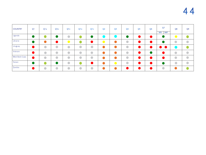| <b>COUNTRY</b> | Q <sub>1</sub> | Q <sub>1</sub> A | Q <sub>1</sub> B                                  | Q <sub>1c</sub>                                   | Q <sub>1</sub> <sub>D</sub> | QIE                                               | Q <sub>2</sub> | Q <sub>3</sub> | Q <sub>4</sub>                                    | Q <sub>5</sub> | Q <sub>6</sub> | Q7<br><b>WB</b><br><b>IMF</b> | Q <sub>8</sub> | Q <sub>9</sub> |
|----------------|----------------|------------------|---------------------------------------------------|---------------------------------------------------|-----------------------------|---------------------------------------------------|----------------|----------------|---------------------------------------------------|----------------|----------------|-------------------------------|----------------|----------------|
| Uganda         |                |                  | $\bullet$                                         | $\bullet$                                         |                             |                                                   |                |                | D                                                 |                |                |                               |                |                |
| Ukraine        |                |                  | a a s                                             | $\bullet$                                         |                             |                                                   |                | $\bullet$      | $\begin{array}{c} \bullet \\ \bullet \end{array}$ |                |                |                               | $\blacksquare$ | $\bullet$      |
| Uruguay        |                | $\blacksquare$   | $\begin{array}{c} \bullet \\ \bullet \end{array}$ | $\bullet$                                         | $\bullet$                   | $\bullet$                                         |                | $\bullet$      | $\begin{array}{c} \bullet \\ \bullet \end{array}$ |                | $\blacksquare$ | $\bullet$ $\bullet$           |                |                |
| Vietnam        |                | $\bullet$        | $\bullet$                                         | $\bullet$                                         | $\bullet$                   | $\begin{array}{c} \bullet \\ \bullet \end{array}$ |                |                | $\begin{array}{c} \bullet \\ \bullet \end{array}$ |                |                |                               |                | $\bullet$      |
| West Bank Gaza |                | $\sqrt{2}$       | $\begin{array}{c} \bullet \\ \bullet \end{array}$ | $\begin{array}{c} \bullet \\ \bullet \end{array}$ | $\bullet$                   | $\bullet$                                         |                |                | $\begin{array}{c} \bullet \\ \bullet \end{array}$ |                |                |                               |                | $\bullet$      |
| Yemen          |                |                  | $\bullet$                                         | $\bullet$                                         |                             |                                                   |                | <u>e a s</u>   | $\bullet$                                         |                |                |                               |                | $\bullet$      |
| Zambia         |                | $\blacksquare$   | $\begin{array}{c} \bullet \\ \bullet \end{array}$ | $\begin{array}{c} \bullet \\ \bullet \end{array}$ | $\bullet$                   | $\bullet$                                         |                | $\bullet$      | a a s                                             |                |                | $\bullet$                     |                |                |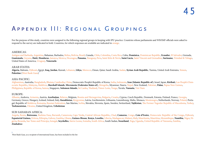### Appendix III: Regional Groupings

For the purpose of this study, countries were assigned to the following regional groups in keeping with IPU practice. Countries whose parliaments and WB/IMF officials were asked to respond to the survey are indicated in bold. Countries, for which responses are available are indicated in orange.

### AMERICAS:

Antigua and Barbuda, Argentina, Bahamas, Barbados, Belize, Bolivia, Brazil, Canada, Chile, Colombia, Costa Rica, Cuba, **Dominica**, Dominican Republic, **Ecuador**, El Salvador, Grenada, **Guatemala**, Guyana, **Haiti**, **Honduras**, Jamaica, Mexico, Nicaragua, **Panama**, Paraguay, Peru, Saint Kitts & Nevis, **Saint Lucia**, Saint Vincent and Grenadine, **Suriname**, Trinidad & Tobago, United States of America, Uruguay, **Venezuela**

### ARAB STATES:

**Algeria**, Bahrain, Djibouti, Egypt, **Iraq**, **Jordan**, Kuwait, Lebanon, **Libya**, Morocco, Oman, Qatar, Saudi Arabia, Sudan, **Syrian Arab Republic**, Tunisia, United Arab Emirates, Yemen, 1**Palestine** (West Bank Gaza)

### ASIA-PACIFIC:

Afghanistan, Australia, Bangladesh, Bhutan, Cambodia, China, Democratic People's Republic of Korea, India, Indonesia, **Iran (Islamic Republic of)**, Israel, Japan, **Kiribati**, Lao People's Democratic Republic, Malaysia, Maldives, **Marshall Islands**, **Micronesia (Federates States of)**, Mongolia, Myanmar, Nauru, Nepal, New Zealand, Pakistan, **Palau**, Papua New Guinea, Philippines, Republic of Korea, Samoa, Singapore, **Solomon Islands**, Sri Lanka, Thailand, Timor-Leste, Tonga, Tuvalu, **Vanuatu**, Viet Nam

### EUROPE:

Albania, Andorra, Armenia, Austria, **Azerbaijan**, Belarus, Belgium, Bosnia and Herzegovina, Bulgaria, Croatia, Cyprus, Czech Republic, Denmark, Estonia, Finland, France, Georgia, Germany, Greece, Hungary, Iceland, Ireland, Italy, **Kazakhstan**, Kyrgyzstan, Latvia, Liechtenstein, Lithuania, Luxembourg, Malta, Monaco, Montenegro, Netherlands, Norway, Poland, Portugal, Republic of Moldova, Romania, Russian Federation, San Marino, Serbia, Slovakia, Slovenia, Spain, Sweden, Switzerland, **Tajikistan**, The Former Yugoslav Republic of Macedonia, Turkey, **Turkmenistan**, Ukraine, United Kingdom, **Uzbekistan**

### SUB-SAHARAN AFRICA:

Angola, Benin, **Botswana**, Burkina Faso, Burundi, Cameroon, Cape Verde, Central African Republic, Chad, **Comoros**, Congo, **Cote d'Ivoire**, Democratic Republic of the Congo, Djibouti, **Equatorial Guinea**, Eritrea, Ethiopia, Gabon, Gambia, Ghana, **Guinea-Bissau**, **Kenya**, **Lesotho**, Liberia, Madagascar, Malawi, Mali, Mauritania, Mauritius, Mozambique, **Namibia**, Niger, Nigeria, Rwanda, Sao Tome and Principe, Senegal, **Seychelles**, Sierra Leone, Somalia, South Africa, South Sudan, **Swaziland**, Togo, Uganda, United Republic of Tanzania, Zambia, **Zimbabwe**

West Bank Gaza, as a recipient of international loans, has been included in the list 1